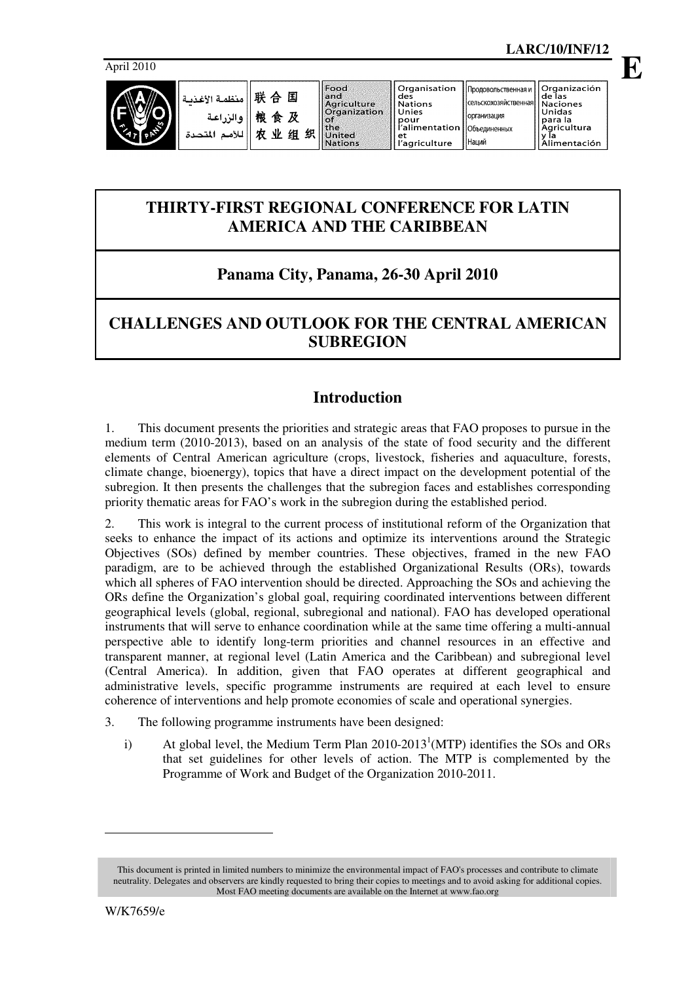**E**

April 2010



Наций

# **THIRTY-FIRST REGIONAL CONFERENCE FOR LATIN AMERICA AND THE CARIBBEAN**

# **Panama City, Panama, 26-30 April 2010**

# **CHALLENGES AND OUTLOOK FOR THE CENTRAL AMERICAN SUBREGION**

# **Introduction**

1. This document presents the priorities and strategic areas that FAO proposes to pursue in the medium term (2010-2013), based on an analysis of the state of food security and the different elements of Central American agriculture (crops, livestock, fisheries and aquaculture, forests, climate change, bioenergy), topics that have a direct impact on the development potential of the subregion. It then presents the challenges that the subregion faces and establishes corresponding priority thematic areas for FAO's work in the subregion during the established period.

2. This work is integral to the current process of institutional reform of the Organization that seeks to enhance the impact of its actions and optimize its interventions around the Strategic Objectives (SOs) defined by member countries. These objectives, framed in the new FAO paradigm, are to be achieved through the established Organizational Results (ORs), towards which all spheres of FAO intervention should be directed. Approaching the SOs and achieving the ORs define the Organization's global goal, requiring coordinated interventions between different geographical levels (global, regional, subregional and national). FAO has developed operational instruments that will serve to enhance coordination while at the same time offering a multi-annual perspective able to identify long-term priorities and channel resources in an effective and transparent manner, at regional level (Latin America and the Caribbean) and subregional level (Central America). In addition, given that FAO operates at different geographical and administrative levels, specific programme instruments are required at each level to ensure coherence of interventions and help promote economies of scale and operational synergies.

- 3. The following programme instruments have been designed:
	- i) At global level, the Medium Term Plan  $2010-2013^1(MTP)$  identifies the SOs and ORs that set guidelines for other levels of action. The MTP is complemented by the Programme of Work and Budget of the Organization 2010-2011.

 $\overline{a}$ 

This document is printed in limited numbers to minimize the environmental impact of FAO's processes and contribute to climate neutrality. Delegates and observers are kindly requested to bring their copies to meetings and to avoid asking for additional copies. Most FAO meeting documents are available on the Internet at www.fao.org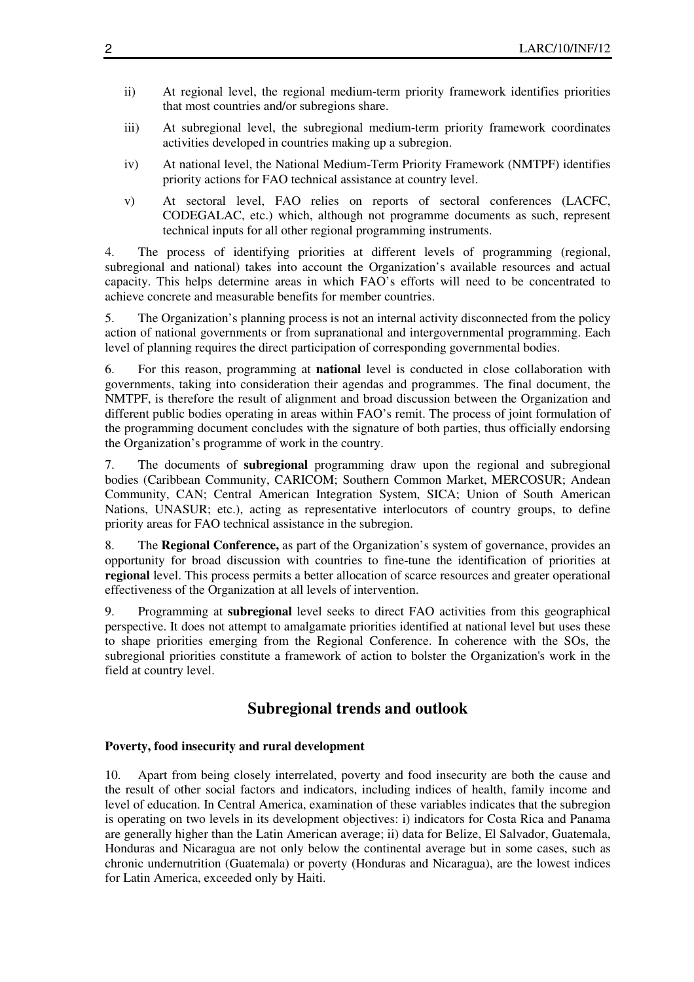- ii) At regional level, the regional medium-term priority framework identifies priorities that most countries and/or subregions share.
- iii) At subregional level, the subregional medium-term priority framework coordinates activities developed in countries making up a subregion.
- iv) At national level, the National Medium-Term Priority Framework (NMTPF) identifies priority actions for FAO technical assistance at country level.
- v) At sectoral level, FAO relies on reports of sectoral conferences (LACFC, CODEGALAC, etc.) which, although not programme documents as such, represent technical inputs for all other regional programming instruments.

4. The process of identifying priorities at different levels of programming (regional, subregional and national) takes into account the Organization's available resources and actual capacity. This helps determine areas in which FAO's efforts will need to be concentrated to achieve concrete and measurable benefits for member countries.

5. The Organization's planning process is not an internal activity disconnected from the policy action of national governments or from supranational and intergovernmental programming. Each level of planning requires the direct participation of corresponding governmental bodies.

6. For this reason, programming at **national** level is conducted in close collaboration with governments, taking into consideration their agendas and programmes. The final document, the NMTPF, is therefore the result of alignment and broad discussion between the Organization and different public bodies operating in areas within FAO's remit. The process of joint formulation of the programming document concludes with the signature of both parties, thus officially endorsing the Organization's programme of work in the country.

7. The documents of **subregional** programming draw upon the regional and subregional bodies (Caribbean Community, CARICOM; Southern Common Market, MERCOSUR; Andean Community, CAN; Central American Integration System, SICA; Union of South American Nations, UNASUR; etc.), acting as representative interlocutors of country groups, to define priority areas for FAO technical assistance in the subregion.

8. The **Regional Conference,** as part of the Organization's system of governance, provides an opportunity for broad discussion with countries to fine-tune the identification of priorities at **regional** level. This process permits a better allocation of scarce resources and greater operational effectiveness of the Organization at all levels of intervention.

9. Programming at **subregional** level seeks to direct FAO activities from this geographical perspective. It does not attempt to amalgamate priorities identified at national level but uses these to shape priorities emerging from the Regional Conference. In coherence with the SOs, the subregional priorities constitute a framework of action to bolster the Organization's work in the field at country level.

# **Subregional trends and outlook**

#### **Poverty, food insecurity and rural development**

10. Apart from being closely interrelated, poverty and food insecurity are both the cause and the result of other social factors and indicators, including indices of health, family income and level of education. In Central America, examination of these variables indicates that the subregion is operating on two levels in its development objectives: i) indicators for Costa Rica and Panama are generally higher than the Latin American average; ii) data for Belize, El Salvador, Guatemala, Honduras and Nicaragua are not only below the continental average but in some cases, such as chronic undernutrition (Guatemala) or poverty (Honduras and Nicaragua), are the lowest indices for Latin America, exceeded only by Haiti.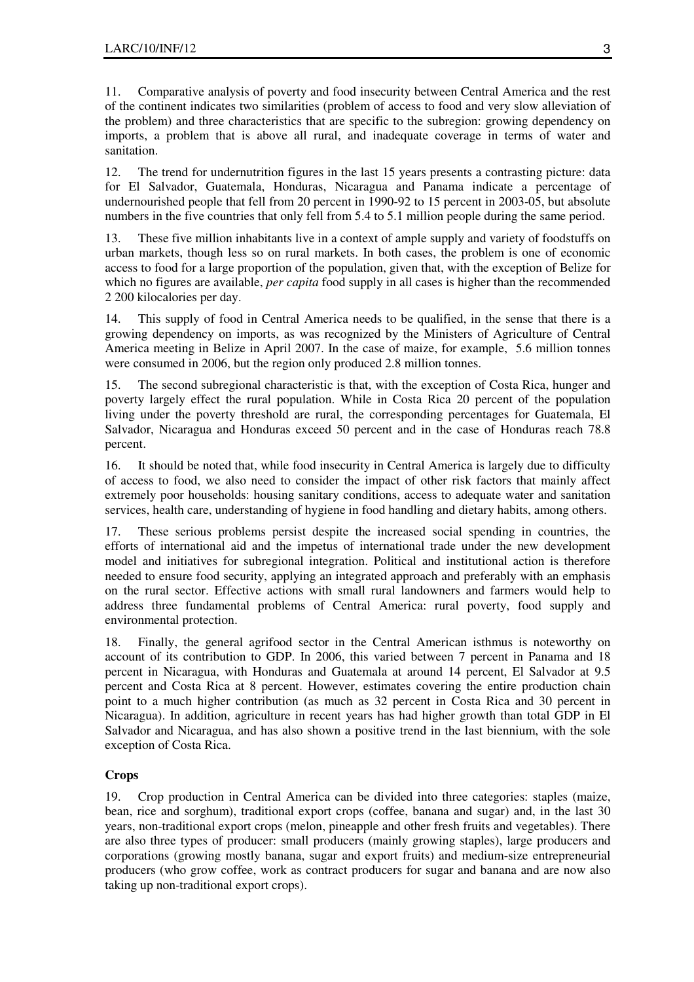11. Comparative analysis of poverty and food insecurity between Central America and the rest of the continent indicates two similarities (problem of access to food and very slow alleviation of the problem) and three characteristics that are specific to the subregion: growing dependency on imports, a problem that is above all rural, and inadequate coverage in terms of water and sanitation.

12. The trend for undernutrition figures in the last 15 years presents a contrasting picture: data for El Salvador, Guatemala, Honduras, Nicaragua and Panama indicate a percentage of undernourished people that fell from 20 percent in 1990-92 to 15 percent in 2003-05, but absolute numbers in the five countries that only fell from 5.4 to 5.1 million people during the same period.

13. These five million inhabitants live in a context of ample supply and variety of foodstuffs on urban markets, though less so on rural markets. In both cases, the problem is one of economic access to food for a large proportion of the population, given that, with the exception of Belize for which no figures are available, *per capita* food supply in all cases is higher than the recommended 2 200 kilocalories per day.

14. This supply of food in Central America needs to be qualified, in the sense that there is a growing dependency on imports, as was recognized by the Ministers of Agriculture of Central America meeting in Belize in April 2007. In the case of maize, for example, 5.6 million tonnes were consumed in 2006, but the region only produced 2.8 million tonnes.

15. The second subregional characteristic is that, with the exception of Costa Rica, hunger and poverty largely effect the rural population. While in Costa Rica 20 percent of the population living under the poverty threshold are rural, the corresponding percentages for Guatemala, El Salvador, Nicaragua and Honduras exceed 50 percent and in the case of Honduras reach 78.8 percent.

16. It should be noted that, while food insecurity in Central America is largely due to difficulty of access to food, we also need to consider the impact of other risk factors that mainly affect extremely poor households: housing sanitary conditions, access to adequate water and sanitation services, health care, understanding of hygiene in food handling and dietary habits, among others.

17. These serious problems persist despite the increased social spending in countries, the efforts of international aid and the impetus of international trade under the new development model and initiatives for subregional integration. Political and institutional action is therefore needed to ensure food security, applying an integrated approach and preferably with an emphasis on the rural sector. Effective actions with small rural landowners and farmers would help to address three fundamental problems of Central America: rural poverty, food supply and environmental protection.

18. Finally, the general agrifood sector in the Central American isthmus is noteworthy on account of its contribution to GDP. In 2006, this varied between 7 percent in Panama and 18 percent in Nicaragua, with Honduras and Guatemala at around 14 percent, El Salvador at 9.5 percent and Costa Rica at 8 percent. However, estimates covering the entire production chain point to a much higher contribution (as much as 32 percent in Costa Rica and 30 percent in Nicaragua). In addition, agriculture in recent years has had higher growth than total GDP in El Salvador and Nicaragua, and has also shown a positive trend in the last biennium, with the sole exception of Costa Rica.

## **Crops**

19. Crop production in Central America can be divided into three categories: staples (maize, bean, rice and sorghum), traditional export crops (coffee, banana and sugar) and, in the last 30 years, non-traditional export crops (melon, pineapple and other fresh fruits and vegetables). There are also three types of producer: small producers (mainly growing staples), large producers and corporations (growing mostly banana, sugar and export fruits) and medium-size entrepreneurial producers (who grow coffee, work as contract producers for sugar and banana and are now also taking up non-traditional export crops).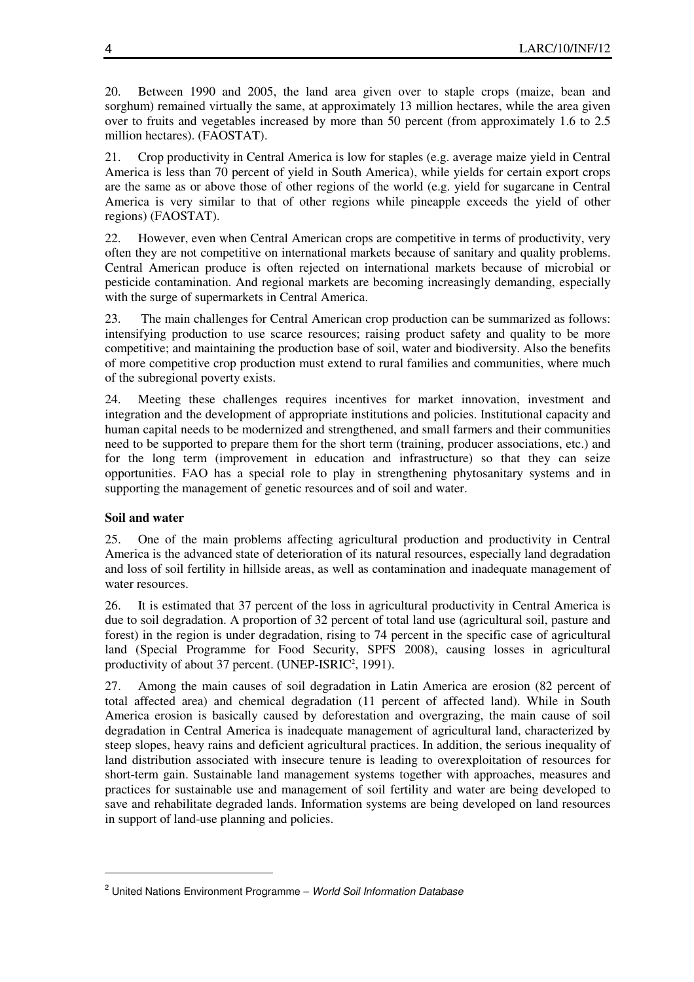20. Between 1990 and 2005, the land area given over to staple crops (maize, bean and sorghum) remained virtually the same, at approximately 13 million hectares, while the area given over to fruits and vegetables increased by more than 50 percent (from approximately 1.6 to 2.5 million hectares). (FAOSTAT).

21. Crop productivity in Central America is low for staples (e.g. average maize yield in Central America is less than 70 percent of yield in South America), while yields for certain export crops are the same as or above those of other regions of the world (e.g. yield for sugarcane in Central America is very similar to that of other regions while pineapple exceeds the yield of other regions) (FAOSTAT).

22. However, even when Central American crops are competitive in terms of productivity, very often they are not competitive on international markets because of sanitary and quality problems. Central American produce is often rejected on international markets because of microbial or pesticide contamination. And regional markets are becoming increasingly demanding, especially with the surge of supermarkets in Central America.

23. The main challenges for Central American crop production can be summarized as follows: intensifying production to use scarce resources; raising product safety and quality to be more competitive; and maintaining the production base of soil, water and biodiversity. Also the benefits of more competitive crop production must extend to rural families and communities, where much of the subregional poverty exists.

24. Meeting these challenges requires incentives for market innovation, investment and integration and the development of appropriate institutions and policies. Institutional capacity and human capital needs to be modernized and strengthened, and small farmers and their communities need to be supported to prepare them for the short term (training, producer associations, etc.) and for the long term (improvement in education and infrastructure) so that they can seize opportunities. FAO has a special role to play in strengthening phytosanitary systems and in supporting the management of genetic resources and of soil and water.

## **Soil and water**

 $\overline{a}$ 

25. One of the main problems affecting agricultural production and productivity in Central America is the advanced state of deterioration of its natural resources, especially land degradation and loss of soil fertility in hillside areas, as well as contamination and inadequate management of water resources.

26. It is estimated that 37 percent of the loss in agricultural productivity in Central America is due to soil degradation. A proportion of 32 percent of total land use (agricultural soil, pasture and forest) in the region is under degradation, rising to 74 percent in the specific case of agricultural land (Special Programme for Food Security, SPFS 2008), causing losses in agricultural productivity of about 37 percent. (UNEP-ISRIC<sup>2</sup>, 1991).

27. Among the main causes of soil degradation in Latin America are erosion (82 percent of total affected area) and chemical degradation (11 percent of affected land). While in South America erosion is basically caused by deforestation and overgrazing, the main cause of soil degradation in Central America is inadequate management of agricultural land, characterized by steep slopes, heavy rains and deficient agricultural practices. In addition, the serious inequality of land distribution associated with insecure tenure is leading to overexploitation of resources for short-term gain. Sustainable land management systems together with approaches, measures and practices for sustainable use and management of soil fertility and water are being developed to save and rehabilitate degraded lands. Information systems are being developed on land resources in support of land-use planning and policies.

<sup>&</sup>lt;sup>2</sup> United Nations Environment Programme - World Soil Information Database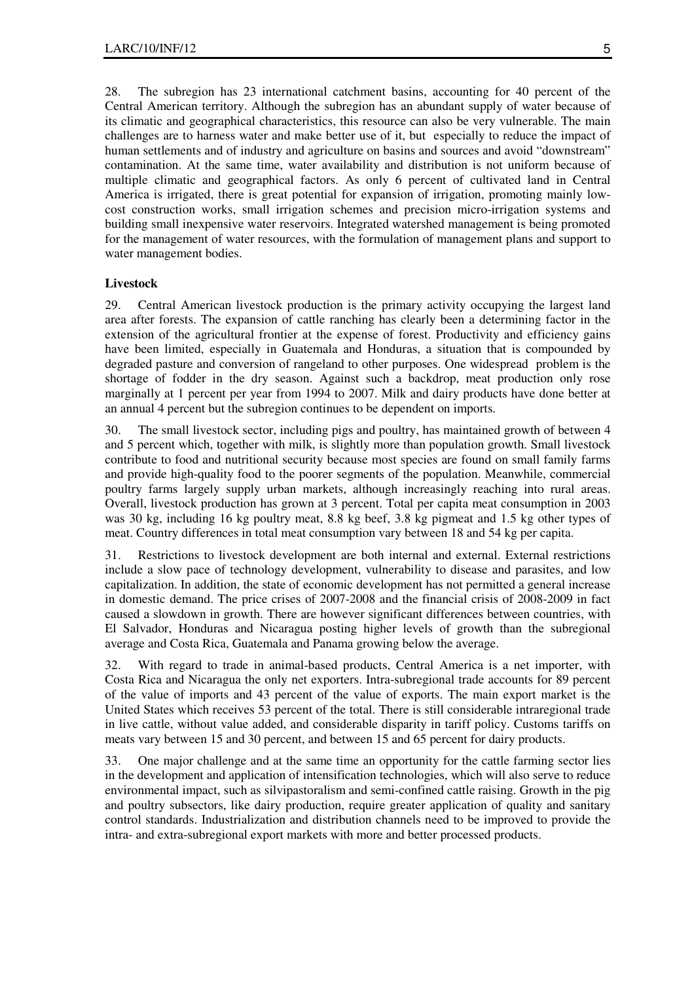28. The subregion has 23 international catchment basins, accounting for 40 percent of the Central American territory. Although the subregion has an abundant supply of water because of its climatic and geographical characteristics, this resource can also be very vulnerable. The main challenges are to harness water and make better use of it, but especially to reduce the impact of human settlements and of industry and agriculture on basins and sources and avoid "downstream" contamination. At the same time, water availability and distribution is not uniform because of multiple climatic and geographical factors. As only 6 percent of cultivated land in Central America is irrigated, there is great potential for expansion of irrigation, promoting mainly lowcost construction works, small irrigation schemes and precision micro-irrigation systems and building small inexpensive water reservoirs. Integrated watershed management is being promoted for the management of water resources, with the formulation of management plans and support to water management bodies.

#### **Livestock**

29. Central American livestock production is the primary activity occupying the largest land area after forests. The expansion of cattle ranching has clearly been a determining factor in the extension of the agricultural frontier at the expense of forest. Productivity and efficiency gains have been limited, especially in Guatemala and Honduras, a situation that is compounded by degraded pasture and conversion of rangeland to other purposes. One widespread problem is the shortage of fodder in the dry season. Against such a backdrop, meat production only rose marginally at 1 percent per year from 1994 to 2007. Milk and dairy products have done better at an annual 4 percent but the subregion continues to be dependent on imports.

30. The small livestock sector, including pigs and poultry, has maintained growth of between 4 and 5 percent which, together with milk, is slightly more than population growth. Small livestock contribute to food and nutritional security because most species are found on small family farms and provide high-quality food to the poorer segments of the population. Meanwhile, commercial poultry farms largely supply urban markets, although increasingly reaching into rural areas. Overall, livestock production has grown at 3 percent. Total per capita meat consumption in 2003 was 30 kg, including 16 kg poultry meat, 8.8 kg beef, 3.8 kg pigmeat and 1.5 kg other types of meat. Country differences in total meat consumption vary between 18 and 54 kg per capita.

31. Restrictions to livestock development are both internal and external. External restrictions include a slow pace of technology development, vulnerability to disease and parasites, and low capitalization. In addition, the state of economic development has not permitted a general increase in domestic demand. The price crises of 2007-2008 and the financial crisis of 2008-2009 in fact caused a slowdown in growth. There are however significant differences between countries, with El Salvador, Honduras and Nicaragua posting higher levels of growth than the subregional average and Costa Rica, Guatemala and Panama growing below the average.

32. With regard to trade in animal-based products, Central America is a net importer, with Costa Rica and Nicaragua the only net exporters. Intra-subregional trade accounts for 89 percent of the value of imports and 43 percent of the value of exports. The main export market is the United States which receives 53 percent of the total. There is still considerable intraregional trade in live cattle, without value added, and considerable disparity in tariff policy. Customs tariffs on meats vary between 15 and 30 percent, and between 15 and 65 percent for dairy products.

33. One major challenge and at the same time an opportunity for the cattle farming sector lies in the development and application of intensification technologies, which will also serve to reduce environmental impact, such as silvipastoralism and semi-confined cattle raising. Growth in the pig and poultry subsectors, like dairy production, require greater application of quality and sanitary control standards. Industrialization and distribution channels need to be improved to provide the intra- and extra-subregional export markets with more and better processed products.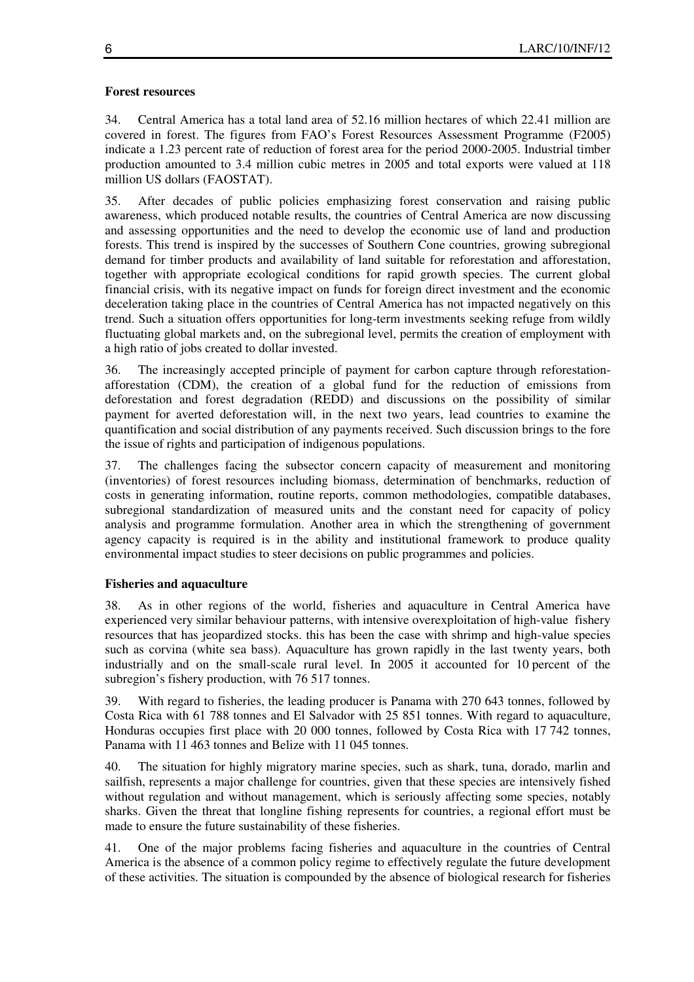### **Forest resources**

34. Central America has a total land area of 52.16 million hectares of which 22.41 million are covered in forest. The figures from FAO's Forest Resources Assessment Programme (F2005) indicate a 1.23 percent rate of reduction of forest area for the period 2000-2005. Industrial timber production amounted to 3.4 million cubic metres in 2005 and total exports were valued at 118 million US dollars (FAOSTAT).

35. After decades of public policies emphasizing forest conservation and raising public awareness, which produced notable results, the countries of Central America are now discussing and assessing opportunities and the need to develop the economic use of land and production forests. This trend is inspired by the successes of Southern Cone countries, growing subregional demand for timber products and availability of land suitable for reforestation and afforestation, together with appropriate ecological conditions for rapid growth species. The current global financial crisis, with its negative impact on funds for foreign direct investment and the economic deceleration taking place in the countries of Central America has not impacted negatively on this trend. Such a situation offers opportunities for long-term investments seeking refuge from wildly fluctuating global markets and, on the subregional level, permits the creation of employment with a high ratio of jobs created to dollar invested.

36. The increasingly accepted principle of payment for carbon capture through reforestationafforestation (CDM), the creation of a global fund for the reduction of emissions from deforestation and forest degradation (REDD) and discussions on the possibility of similar payment for averted deforestation will, in the next two years, lead countries to examine the quantification and social distribution of any payments received. Such discussion brings to the fore the issue of rights and participation of indigenous populations.

37. The challenges facing the subsector concern capacity of measurement and monitoring (inventories) of forest resources including biomass, determination of benchmarks, reduction of costs in generating information, routine reports, common methodologies, compatible databases, subregional standardization of measured units and the constant need for capacity of policy analysis and programme formulation. Another area in which the strengthening of government agency capacity is required is in the ability and institutional framework to produce quality environmental impact studies to steer decisions on public programmes and policies.

## **Fisheries and aquaculture**

38. As in other regions of the world, fisheries and aquaculture in Central America have experienced very similar behaviour patterns, with intensive overexploitation of high-value fishery resources that has jeopardized stocks. this has been the case with shrimp and high-value species such as corvina (white sea bass). Aquaculture has grown rapidly in the last twenty years, both industrially and on the small-scale rural level. In 2005 it accounted for 10 percent of the subregion's fishery production, with 76 517 tonnes.

39. With regard to fisheries, the leading producer is Panama with 270 643 tonnes, followed by Costa Rica with 61 788 tonnes and El Salvador with 25 851 tonnes. With regard to aquaculture, Honduras occupies first place with 20 000 tonnes, followed by Costa Rica with 17 742 tonnes, Panama with 11 463 tonnes and Belize with 11 045 tonnes.

40. The situation for highly migratory marine species, such as shark, tuna, dorado, marlin and sailfish, represents a major challenge for countries, given that these species are intensively fished without regulation and without management, which is seriously affecting some species, notably sharks. Given the threat that longline fishing represents for countries, a regional effort must be made to ensure the future sustainability of these fisheries.

41. One of the major problems facing fisheries and aquaculture in the countries of Central America is the absence of a common policy regime to effectively regulate the future development of these activities. The situation is compounded by the absence of biological research for fisheries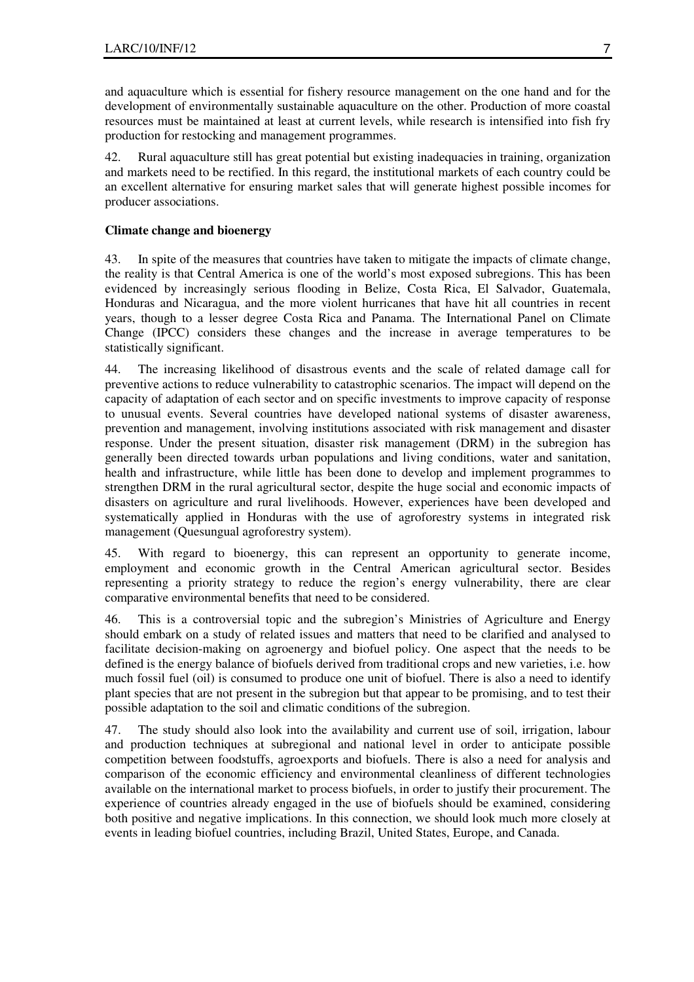and aquaculture which is essential for fishery resource management on the one hand and for the development of environmentally sustainable aquaculture on the other. Production of more coastal resources must be maintained at least at current levels, while research is intensified into fish fry production for restocking and management programmes.

42. Rural aquaculture still has great potential but existing inadequacies in training, organization and markets need to be rectified. In this regard, the institutional markets of each country could be an excellent alternative for ensuring market sales that will generate highest possible incomes for producer associations.

## **Climate change and bioenergy**

43. In spite of the measures that countries have taken to mitigate the impacts of climate change, the reality is that Central America is one of the world's most exposed subregions. This has been evidenced by increasingly serious flooding in Belize, Costa Rica, El Salvador, Guatemala, Honduras and Nicaragua, and the more violent hurricanes that have hit all countries in recent years, though to a lesser degree Costa Rica and Panama. The International Panel on Climate Change (IPCC) considers these changes and the increase in average temperatures to be statistically significant.

44. The increasing likelihood of disastrous events and the scale of related damage call for preventive actions to reduce vulnerability to catastrophic scenarios. The impact will depend on the capacity of adaptation of each sector and on specific investments to improve capacity of response to unusual events. Several countries have developed national systems of disaster awareness, prevention and management, involving institutions associated with risk management and disaster response. Under the present situation, disaster risk management (DRM) in the subregion has generally been directed towards urban populations and living conditions, water and sanitation, health and infrastructure, while little has been done to develop and implement programmes to strengthen DRM in the rural agricultural sector, despite the huge social and economic impacts of disasters on agriculture and rural livelihoods. However, experiences have been developed and systematically applied in Honduras with the use of agroforestry systems in integrated risk management (Quesungual agroforestry system).

45. With regard to bioenergy, this can represent an opportunity to generate income, employment and economic growth in the Central American agricultural sector. Besides representing a priority strategy to reduce the region's energy vulnerability, there are clear comparative environmental benefits that need to be considered.

46. This is a controversial topic and the subregion's Ministries of Agriculture and Energy should embark on a study of related issues and matters that need to be clarified and analysed to facilitate decision-making on agroenergy and biofuel policy. One aspect that the needs to be defined is the energy balance of biofuels derived from traditional crops and new varieties, i.e. how much fossil fuel (oil) is consumed to produce one unit of biofuel. There is also a need to identify plant species that are not present in the subregion but that appear to be promising, and to test their possible adaptation to the soil and climatic conditions of the subregion.

47. The study should also look into the availability and current use of soil, irrigation, labour and production techniques at subregional and national level in order to anticipate possible competition between foodstuffs, agroexports and biofuels. There is also a need for analysis and comparison of the economic efficiency and environmental cleanliness of different technologies available on the international market to process biofuels, in order to justify their procurement. The experience of countries already engaged in the use of biofuels should be examined, considering both positive and negative implications. In this connection, we should look much more closely at events in leading biofuel countries, including Brazil, United States, Europe, and Canada.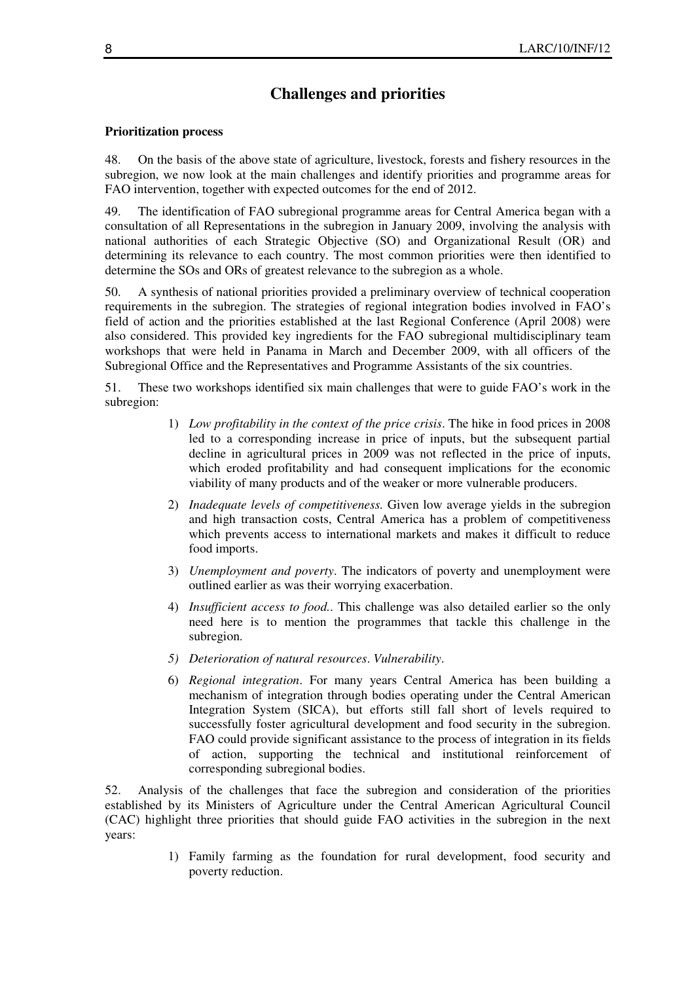# **Challenges and priorities**

#### **Prioritization process**

48. On the basis of the above state of agriculture, livestock, forests and fishery resources in the subregion, we now look at the main challenges and identify priorities and programme areas for FAO intervention, together with expected outcomes for the end of 2012.

49. The identification of FAO subregional programme areas for Central America began with a consultation of all Representations in the subregion in January 2009, involving the analysis with national authorities of each Strategic Objective (SO) and Organizational Result (OR) and determining its relevance to each country. The most common priorities were then identified to determine the SOs and ORs of greatest relevance to the subregion as a whole.

50. A synthesis of national priorities provided a preliminary overview of technical cooperation requirements in the subregion. The strategies of regional integration bodies involved in FAO's field of action and the priorities established at the last Regional Conference (April 2008) were also considered. This provided key ingredients for the FAO subregional multidisciplinary team workshops that were held in Panama in March and December 2009, with all officers of the Subregional Office and the Representatives and Programme Assistants of the six countries.

51. These two workshops identified six main challenges that were to guide FAO's work in the subregion:

- 1) *Low profitability in the context of the price crisis*. The hike in food prices in 2008 led to a corresponding increase in price of inputs, but the subsequent partial decline in agricultural prices in 2009 was not reflected in the price of inputs, which eroded profitability and had consequent implications for the economic viability of many products and of the weaker or more vulnerable producers.
- 2) *Inadequate levels of competitiveness.* Given low average yields in the subregion and high transaction costs, Central America has a problem of competitiveness which prevents access to international markets and makes it difficult to reduce food imports.
- 3) *Unemployment and poverty*. The indicators of poverty and unemployment were outlined earlier as was their worrying exacerbation.
- 4) *Insufficient access to food.*. This challenge was also detailed earlier so the only need here is to mention the programmes that tackle this challenge in the subregion.
- *5) Deterioration of natural resources*. *Vulnerability*.
- 6) *Regional integration*. For many years Central America has been building a mechanism of integration through bodies operating under the Central American Integration System (SICA), but efforts still fall short of levels required to successfully foster agricultural development and food security in the subregion. FAO could provide significant assistance to the process of integration in its fields of action, supporting the technical and institutional reinforcement of corresponding subregional bodies.

52. Analysis of the challenges that face the subregion and consideration of the priorities established by its Ministers of Agriculture under the Central American Agricultural Council (CAC) highlight three priorities that should guide FAO activities in the subregion in the next years:

> 1) Family farming as the foundation for rural development, food security and poverty reduction.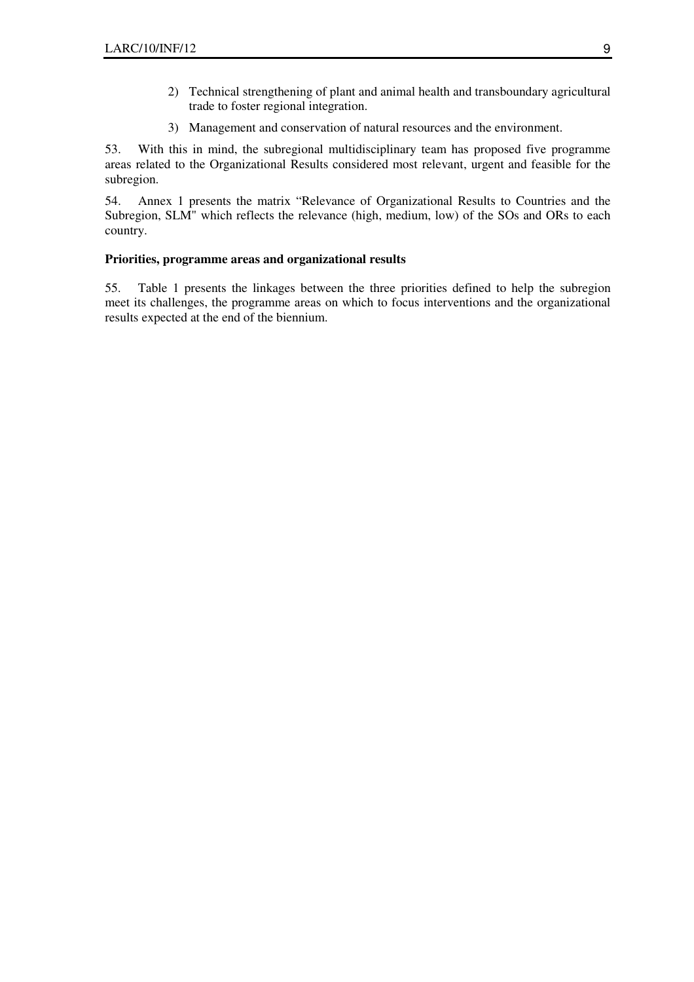- 2) Technical strengthening of plant and animal health and transboundary agricultural trade to foster regional integration.
- 3) Management and conservation of natural resources and the environment.

53. With this in mind, the subregional multidisciplinary team has proposed five programme areas related to the Organizational Results considered most relevant, urgent and feasible for the subregion.

54. Annex 1 presents the matrix "Relevance of Organizational Results to Countries and the Subregion, SLM" which reflects the relevance (high, medium, low) of the SOs and ORs to each country.

### **Priorities, programme areas and organizational results**

55. Table 1 presents the linkages between the three priorities defined to help the subregion meet its challenges, the programme areas on which to focus interventions and the organizational results expected at the end of the biennium.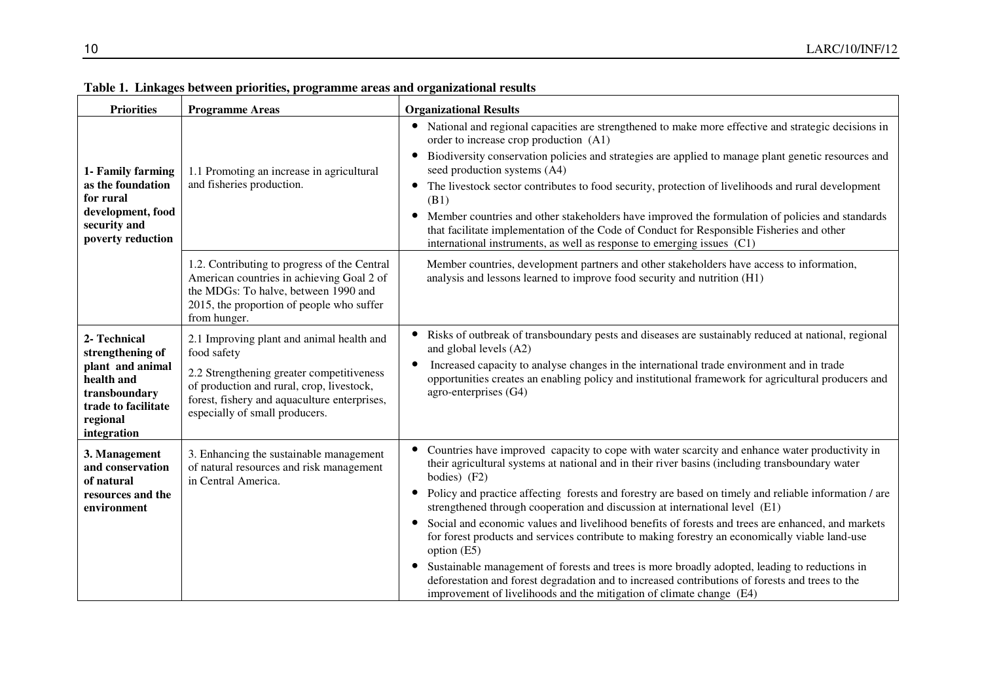| <b>Priorities</b>                                                                                                                     | <b>Programme Areas</b>                                                                                                                                                                                                               | <b>Organizational Results</b>                                                                                                                                                                                                                                                                                                                                                                                                                                                                                                                                                                                                                                                                                                                                                                                                                                                                               |
|---------------------------------------------------------------------------------------------------------------------------------------|--------------------------------------------------------------------------------------------------------------------------------------------------------------------------------------------------------------------------------------|-------------------------------------------------------------------------------------------------------------------------------------------------------------------------------------------------------------------------------------------------------------------------------------------------------------------------------------------------------------------------------------------------------------------------------------------------------------------------------------------------------------------------------------------------------------------------------------------------------------------------------------------------------------------------------------------------------------------------------------------------------------------------------------------------------------------------------------------------------------------------------------------------------------|
| 1- Family farming<br>as the foundation<br>for rural<br>development, food<br>security and<br>poverty reduction                         | 1.1 Promoting an increase in agricultural<br>and fisheries production.                                                                                                                                                               | National and regional capacities are strengthened to make more effective and strategic decisions in<br>$\bullet$<br>order to increase crop production (A1)<br>Biodiversity conservation policies and strategies are applied to manage plant genetic resources and<br>$\bullet$<br>seed production systems (A4)<br>The livestock sector contributes to food security, protection of livelihoods and rural development<br>(B1)<br>Member countries and other stakeholders have improved the formulation of policies and standards<br>$\bullet$<br>that facilitate implementation of the Code of Conduct for Responsible Fisheries and other<br>international instruments, as well as response to emerging issues (C1)                                                                                                                                                                                         |
|                                                                                                                                       | 1.2. Contributing to progress of the Central<br>American countries in achieving Goal 2 of<br>the MDGs: To halve, between 1990 and<br>2015, the proportion of people who suffer<br>from hunger.                                       | Member countries, development partners and other stakeholders have access to information,<br>analysis and lessons learned to improve food security and nutrition (H1)                                                                                                                                                                                                                                                                                                                                                                                                                                                                                                                                                                                                                                                                                                                                       |
| 2- Technical<br>strengthening of<br>plant and animal<br>health and<br>transboundary<br>trade to facilitate<br>regional<br>integration | 2.1 Improving plant and animal health and<br>food safety<br>2.2 Strengthening greater competitiveness<br>of production and rural, crop, livestock,<br>forest, fishery and aquaculture enterprises,<br>especially of small producers. | Risks of outbreak of transboundary pests and diseases are sustainably reduced at national, regional<br>and global levels (A2)<br>Increased capacity to analyse changes in the international trade environment and in trade<br>opportunities creates an enabling policy and institutional framework for agricultural producers and<br>agro-enterprises (G4)                                                                                                                                                                                                                                                                                                                                                                                                                                                                                                                                                  |
| 3. Management<br>and conservation<br>of natural<br>resources and the<br>environment                                                   | 3. Enhancing the sustainable management<br>of natural resources and risk management<br>in Central America.                                                                                                                           | Countries have improved capacity to cope with water scarcity and enhance water productivity in<br>their agricultural systems at national and in their river basins (including transboundary water<br>bodies) (F2)<br>Policy and practice affecting forests and forestry are based on timely and reliable information / are<br>strengthened through cooperation and discussion at international level (E1)<br>Social and economic values and livelihood benefits of forests and trees are enhanced, and markets<br>for forest products and services contribute to making forestry an economically viable land-use<br>option (E5)<br>Sustainable management of forests and trees is more broadly adopted, leading to reductions in<br>deforestation and forest degradation and to increased contributions of forests and trees to the<br>improvement of livelihoods and the mitigation of climate change (E4) |

**Table 1. Linkages between priorities, programme areas and organizational results**